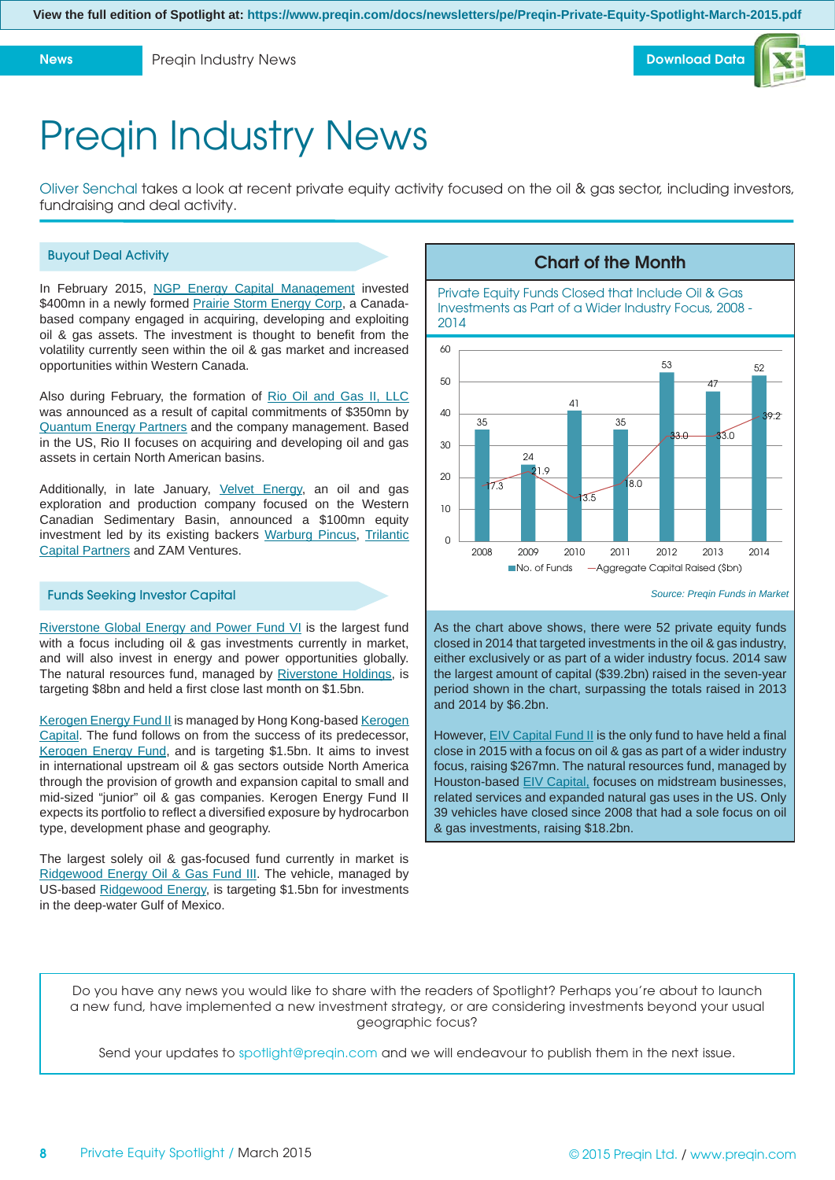

## Preqin Industry News

Oliver Senchal takes a look at recent private equity activity focused on the oil & gas sector, including investors, fundraising and deal activity.

## Buyout Deal Activity

In February 2015, [NGP Energy Capital Management](https://www.preqin.com/user/PE/gp_profile.aspx?firmid=2140&src=2) invested \$400mn in a newly formed [Prairie Storm Energy Corp,](https://www.preqin.com/user/PE/DealsBuyout_portProfile.aspx?FirmID=161256&src=2) a Canadabased company engaged in acquiring, developing and exploiting oil & gas assets. The investment is thought to benefit from the volatility currently seen within the oil & gas market and increased opportunities within Western Canada.

Also during February, the formation of [Rio Oil and Gas II, LLC](https://www.preqin.com/user/PE/DealsBuyout_portProfile.aspx?FirmID=161093&src=2) was announced as a result of capital commitments of \$350mn by [Quantum Energy Partners](https://www.preqin.com/user/PE/gp_profile.aspx?firmid=2205&src=2) and the company management. Based in the US, Rio II focuses on acquiring and developing oil and gas assets in certain North American basins.

Additionally, in late January, [Velvet Energy,](https://www.preqin.com/user/pe/DealsBuyout_portProfile.aspx?FirmID=64194&src=2) an oil and gas exploration and production company focused on the Western Canadian Sedimentary Basin, announced a \$100mn equity investment led by its existing backers [Warburg Pincus,](https://www.preqin.com/user/pe/gp_profile.aspx?FirmID=795&src=2) [Trilantic](https://www.preqin.com/user/pe/gp_profile.aspx?FirmID=23839&src=2) [Capital Partners](https://www.preqin.com/user/pe/gp_profile.aspx?FirmID=23839&src=2) and ZAM Ventures.

## Funds Seeking Investor Capital

[Riverstone Global Energy and Power Fund VI](https://www.preqin.com/user/pe/FIM_details.aspx?Fundid=47764&ID=14&src=2) is the largest fund with a focus including oil & gas investments currently in market, and will also invest in energy and power opportunities globally. The natural resources fund, managed by [Riverstone Holdings,](https://www.preqin.com/user/pe/gp_profile.aspx?FirmID=5042&src=2) is targeting \$8bn and held a first close last month on \$1.5bn.

[Kerogen Energy Fund II](https://www.preqin.com/user/pe/FIM_details.aspx?Fundid=50244&ID=14&src=2) is managed by Hong Kong-based [Kerogen](https://www.preqin.com/user/pe/gp_profile.aspx?FirmID=60426&src=2) [Capital.](https://www.preqin.com/user/pe/gp_profile.aspx?FirmID=60426&src=2) The fund follows on from the success of its predecessor, [Kerogen Energy Fund,](https://www.preqin.com/user/pe/fund_performance.aspx?FundID=23539&src=2) and is targeting \$1.5bn. It aims to invest in international upstream oil & gas sectors outside North America through the provision of growth and expansion capital to small and mid-sized "junior" oil & gas companies. Kerogen Energy Fund II expects its portfolio to reflect a diversified exposure by hydrocarbon type, development phase and geography.

The largest solely oil & gas-focused fund currently in market is [Ridgewood Energy Oil & Gas Fund III.](https://www.preqin.com/user/pe/FIM_details.aspx?Fundid=52178&ID=14&src=2) The vehicle, managed by US-based [Ridgewood Energy,](https://www.preqin.com/user/pe/gp_profile.aspx?FirmID=22921&src=2) is targeting \$1.5bn for investments in the deep-water Gulf of Mexico.

Private Equity Funds Closed that Include Oil & Gas Investments as Part of a Wider Industry Focus, 2008 - 2014

**Chart of the Month**



*Source: Preqin Funds in Market*

As the chart above shows, there were 52 private equity funds closed in 2014 that targeted investments in the oil & gas industry, either exclusively or as part of a wider industry focus. 2014 saw the largest amount of capital (\$39.2bn) raised in the seven-year period shown in the chart, surpassing the totals raised in 2013 and 2014 by \$6.2bn.

However, [EIV Capital Fund II](https://www.preqin.com/user/pe/FIM_details.aspx?Fundid=41727&ID=14&src=2) is the only fund to have held a final close in 2015 with a focus on oil & gas as part of a wider industry focus, raising \$267mn. The natural resources fund, managed by Houston-based [EIV Capital,](https://www.preqin.com/user/pe/gp_profile.aspx?FirmID=105854&src=2) focuses on midstream businesses, related services and expanded natural gas uses in the US. Only 39 vehicles have closed since 2008 that had a sole focus on oil & gas investments, raising \$18.2bn.

Do you have any news you would like to share with the readers of Spotlight? Perhaps you're about to launch a new fund, have implemented a new investment strategy, or are considering investments beyond your usual geographic focus?

Send your updates to spotlight@preqin.com and we will endeavour to publish them in the next issue.